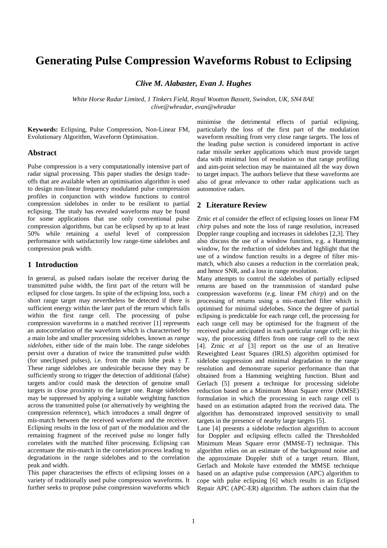# **Generating Pulse Compression Waveforms Robust to Eclipsing**

*Clive M. Alabaster, Evan J. Hughes*

*White Horse Radar Limited, 1 Tinkers Field, Royal Wootton Bassett, Swindon, UK, SN4 8AE clive@whradar, evan@whradar*

**Keywords:** Eclipsing, Pulse Compression, Non-Linear FM, Evolutionary Algorithm, Waveform Optimisation.

#### **Abstract**

Pulse compression is a very computationally intensive part of radar signal processing. This paper studies the design tradeoffs that are available when an optimisation algorithm is used to design non-linear frequency modulated pulse compression profiles in conjunction with window functions to control compression sidelobes in order to be resilient to partial eclipsing. The study has revealed waveforms may be found for some applications that use only conventional pulse compression algorithms, but can be eclipsed by up to at least 50% while retaining a useful level of compression performance with satisfactorily low range-time sidelobes and compression peak width.

#### **1 Introduction**

In general, as pulsed radars isolate the receiver during the transmitted pulse width, the first part of the return will be eclipsed for close targets. In spite of the eclipsing loss, such a short range target may nevertheless be detected if there is sufficient energy within the later part of the return which falls within the first range cell. The processing of pulse compression waveforms in a matched receiver [1] represents an autocorrelation of the waveform which is characterised by a main lobe and smaller processing sidelobes, known as *range sidelobes*, either side of the main lobe. The range sidelobes persist over a duration of twice the transmitted pulse width (for uneclipsed pulses), i.e. from the main lobe peak  $\pm T$ . These range sidelobes are undesirable because they may be sufficiently strong to trigger the detection of additional (false) targets and/or could mask the detection of genuine small targets in close proximity to the larger one. Range sidelobes may be suppressed by applying a suitable weighting function across the transmitted pulse (or alternatively by weighting the compression reference), which introduces a small degree of mis-match between the received waveform and the receiver. Eclipsing results in the loss of part of the modulation and the remaining fragment of the received pulse no longer fully correlates with the matched filter processing. Eclipsing can accentuate the mis-match in the correlation process leading to degradations in the range sidelobes and to the correlation peak and width.

This paper characterises the effects of eclipsing losses on a variety of traditionally used pulse compression waveforms. It further seeks to propose pulse compression waveforms which

minimise the detrimental effects of partial eclipsing, particularly the loss of the first part of the modulation waveform resulting from very close range targets. The loss of the leading pulse section is considered important in active radar missile seeker applications which must provide target data with minimal loss of resolution so that range profiling and aim-point selection may be maintained all the way down to target impact. The authors believe that these waveforms are also of great relevance to other radar applications such as automotive radars.

## **2 Literature Review**

Zrnic *et al* consider the effect of eclipsing losses on linear FM *chirp* pulses and note the loss of range resolution, increased Doppler range coupling and increases in sidelobes [2,3]. They also discuss the use of a window function, e.g. a Hamming window, for the reduction of sidelobes and highlight that the use of a window function results in a degree of filter mismatch, which also causes a reduction in the correlation peak, and hence SNR, and a loss in range resolution.

Many attempts to control the sidelobes of partially eclipsed returns are based on the transmission of standard pulse compression waveforms (e.g. linear FM *chirp*) and on the processing of returns using a mis-matched filter which is optimised for minimal sidelobes. Since the degree of partial eclipsing is predictable for each range cell, the processing for each range cell may be optimised for the fragment of the received pulse anticipated in each particular range cell; in this way, the processing differs from one range cell to the next [4]. Zrnic *et al* [3] report on the use of an Iterative Reweighted Least Squares (IRLS) algorithm optimised for sidelobe suppression and minimal degradation to the range resolution and demonstrate superior performance than that obtained from a Hamming weighting function. Blunt and Gerlach [5] present a technique for processing sidelobe reduction based on a Minimum Mean Square error (MMSE) formulation in which the processing in each range cell is based on an estimation adapted from the received data. The algorithm has demonstrated improved sensitivity to small targets in the presence of nearby large targets [5].

Lane [4] presents a sidelobe reduction algorithm to account for Doppler and eclipsing effects called the Thresholded Minimum Mean Square error (MMSE-T) technique. This algorithm relies on an estimate of the background noise and the approximate Doppler shift of a target return. Blunt, Gerlach and Mokole have extended the MMSE technique based on an adaptive pulse compression (APC) algorithm to cope with pulse eclipsing [6] which results in an Eclipsed Repair APC (APC-ER) algorithm. The authors claim that the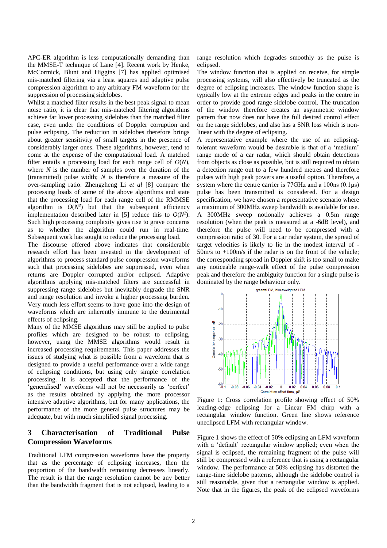APC-ER algorithm is less computationally demanding than the MMSE-T technique of Lane [4]. Recent work by Henke, McCormick, Blunt and Higgins [7] has applied optimised mis-matched filtering via a least squares and adaptive pulse compression algorithm to any arbitrary FM waveform for the suppression of processing sidelobes.

Whilst a matched filter results in the best peak signal to mean noise ratio, it is clear that mis-matched filtering algorithms achieve far lower processing sidelobes than the matched filter case, even under the conditions of Doppler corruption and pulse eclipsing. The reduction in sidelobes therefore brings about greater sensitivity of small targets in the presence of considerably larger ones. These algorithms, however, tend to come at the expense of the computational load. A matched filter entails a processing load for each range cell of *O*(*N*), where *N* is the number of samples over the duration of the (transmitted) pulse width; *N* is therefore a measure of the over-sampling ratio. Zhengzheng Li *et al* [8] compare the processing loads of some of the above algorithms and state that the processing load for each range cell of the RMMSE algorithm is  $O(N^3)$  but that the subsequent efficiency implementation described later in [5] reduce this to  $O(N^2)$ . Such high processing complexity gives rise to grave concerns as to whether the algorithm could run in real-time. Subsequent work has sought to reduce the processing load.

The discourse offered above indicates that considerable research effort has been invested in the development of algorithms to process standard pulse compression waveforms such that processing sidelobes are suppressed, even when returns are Doppler corrupted and/or eclipsed. Adaptive algorithms applying mis-matched filters are successful in suppressing range sidelobes but inevitably degrade the SNR and range resolution and invoke a higher processing burden. Very much less effort seems to have gone into the design of waveforms which are inherently immune to the detrimental effects of eclipsing.

Many of the MMSE algorithms may still be applied to pulse profiles which are designed to be robust to eclipsing, however, using the MMSE algorithms would result in increased processing requirements. This paper addresses the issues of studying what is possible from a waveform that is designed to provide a useful performance over a wide range of eclipsing conditions, but using only simple correlation processing. It is accepted that the performance of the 'generalised' waveforms will not be necessarily as 'perfect' as the results obtained by applying the more processor intensive adaptive algorithms, but for many applications, the performance of the more general pulse structures may be adequate, but with much simplified signal processing.

# **3 Characterisation of Traditional Pulse Compression Waveforms**

Traditional LFM compression waveforms have the property that as the percentage of eclipsing increases, then the proportion of the bandwidth remaining decreases linearly. The result is that the range resolution cannot be any better than the bandwidth fragment that is not eclipsed, leading to a range resolution which degrades smoothly as the pulse is eclipsed.

The window function that is applied on receive, for simple processing systems, will also effectively be truncated as the degree of eclipsing increases. The window function shape is typically low at the extreme edges and peaks in the centre in order to provide good range sidelobe control. The truncation of the window therefore creates an asymmetric window pattern that now does not have the full desired control effect on the range sidelobes, and also has a SNR loss which is nonlinear with the degree of eclipsing.

A representative example where the use of an eclipsingtolerant waveform would be desirable is that of a 'medium' range mode of a car radar, which should obtain detections from objects as close as possible, but is still required to obtain a detection range out to a few hundred metres and therefore pulses with high peak powers are a useful option. Therefore, a system where the centre carrier is  $77 \text{GHz}$  and a  $100 \text{ns}$   $(0.1 \mu s)$ pulse has been transmitted is considered. For a design specification, we have chosen a representative scenario where a maximum of 300MHz sweep bandwidth is available for use. A 300MHz sweep notionally achieves a 0.5m range resolution (when the peak is measured at a -6dB level), and therefore the pulse will need to be compressed with a compression ratio of 30. For a car radar system, the spread of target velocities is likely to lie in the modest interval of - 50m/s to +100m/s if the radar is on the front of the vehicle; the corresponding spread in Doppler shift is too small to make any noticeable range-walk effect of the pulse compression peak and therefore the ambiguity function for a single pulse is dominated by the range behaviour only.<br>
green=LFM, blue=weighted LFM



<span id="page-1-0"></span>Figure 1: Cross correlation profile showing effect of 50% leading-edge eclipsing for a Linear FM chirp with a rectangular window function. Green line shows reference uneclipsed LFM with rectangular window.

[Figure 1](#page-1-0) shows the effect of 50% eclipsing an LFM waveform with a 'default' rectangular window applied; even when the signal is eclipsed, the remaining fragment of the pulse will still be compressed with a reference that is using a rectangular window. The performance at 50% eclipsing has distorted the range-time sidelobe patterns, although the sidelobe control is still reasonable, given that a rectangular window is applied. Note that in the figures, the peak of the eclipsed waveforms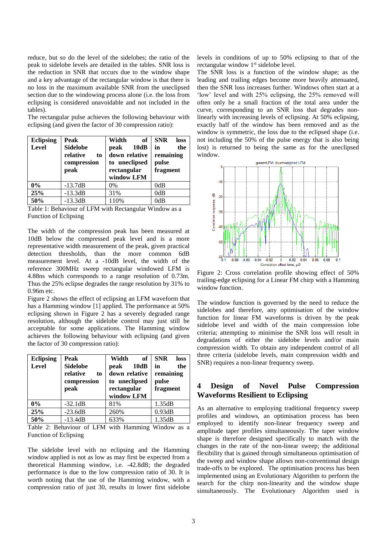reduce, but so do the level of the sidelobes; the ratio of the peak to sidelobe levels are detailed in the tables. SNR loss is the reduction in SNR that occurs due to the window shape and a key advantage of the rectangular window is that there is no loss in the maximum available SNR from the uneclipsed section due to the windowing process alone (i.e. the loss from eclipsing is considered unavoidable and not included in the tables).

The rectangular pulse achieves the following behaviour with eclipsing (and given the factor of 30 compression ratio):

| <b>Eclipsing</b><br>Level | Peak<br><b>Sidelobe</b><br>relative<br>to<br>compression<br>peak | Width<br>of<br>10dB<br>peak<br>down relative<br>to uneclipsed<br>rectangular<br>window LFM | <b>SNR</b><br>loss<br>in<br>the<br>remaining<br>pulse<br>fragment |
|---------------------------|------------------------------------------------------------------|--------------------------------------------------------------------------------------------|-------------------------------------------------------------------|
| 0%                        | $-13.7dB$                                                        | $0\%$                                                                                      | 0dB                                                               |
| 25%                       | $-13.3dB$                                                        | 31%                                                                                        | 0dB                                                               |
| 50%                       | $-13.3dB$                                                        | 110%                                                                                       | 0dB                                                               |

Table 1: Behaviour of LFM with Rectangular Window as a Function of Eclipsing

The width of the compression peak has been measured at 10dB below the compressed peak level and is a more representative width measurement of the peak, given practical detection thresholds, than the more common 6dB measurement level. At a -10dB level, the width of the reference 300MHz sweep rectangular windowed LFM is 4.88ns which corresponds to a range resolution of 0.73m. Thus the 25% eclipse degrades the range resolution by 31% to 0.96m etc.

[Figure 2](#page-2-0) shows the effect of eclipsing an LFM waveform that has a Hamming window [1] applied. The performance at 50% eclipsing shown in [Figure 2](#page-2-0) has a severely degraded range resolution, although the sidelobe control may just still be acceptable for some applications. The Hamming window achieves the following behaviour with eclipsing (and given the factor of 30 compression ratio):

| <b>Eclipsing</b> | Peak                                             | Width<br>of                                    | <b>SNR</b><br>loss              |
|------------------|--------------------------------------------------|------------------------------------------------|---------------------------------|
| Level            | <b>Sidelobe</b><br>relative<br>to<br>compression | 10dB<br>peak<br>down relative<br>to uneclipsed | the<br>in<br>remaining<br>pulse |
|                  | peak                                             | rectangular<br>window LFM                      | fragment                        |
| $0\%$            | $-32.1dB$                                        | 81%                                            | 1.35dB                          |
| 25%              | $-23.6dB$                                        | 260%                                           | 0.93dB                          |
| 50%              | $-13.4dB$                                        | 633%                                           | 1.35dB                          |

Table 2: Behaviour of LFM with Hamming Window as a Function of Eclipsing

The sidelobe level with no eclipsing and the Hamming window applied is not as low as may first be expected from a theoretical Hamming window, i.e. -42.8dB; the degraded performance is due to the low compression ratio of 30. It is worth noting that the use of the Hamming window, with a compression ratio of just 30, results in lower first sidelobe levels in conditions of up to 50% eclipsing to that of the rectangular window 1<sup>st</sup> sidelobe level.

The SNR loss is a function of the window shape; as the leading and trailing edges become more heavily attenuated, then the SNR loss increases further. Windows often start at a 'low' level and with 25% eclipsing, the 25% removed will often only be a small fraction of the total area under the curve, corresponding to an SNR loss that degrades nonlinearly with increasing levels of eclipsing. At 50% eclipsing, exactly half of the window has been removed and as the window is symmetric, the loss due to the eclipsed shape (i.e. not including the 50% of the pulse energy that is also being lost) is returned to being the same as for the uneclipsed window.



<span id="page-2-0"></span>Figure 2: Cross correlation profile showing effect of 50% trailing-edge eclipsing for a Linear FM chirp with a Hamming window function.

The window function is governed by the need to reduce the sidelobes and therefore, any optimisation of the window function for linear FM waveforms is driven by the peak sidelobe level and width of the main compression lobe criteria; attempting to minimise the SNR loss will result in degradations of either the sidelobe levels and/or main compression width. To obtain any independent control of all three criteria (sidelobe levels, main compression width and SNR) requires a non-linear frequency sweep.

# **4 Design of Novel Pulse Compression Waveforms Resilient to Eclipsing**

As an alternative to employing traditional frequency sweep profiles and windows, an optimisation process has been employed to identify non-linear frequency sweep and amplitude taper profiles simultaneously. The taper window shape is therefore designed specifically to match with the changes in the rate of the non-linear sweep; the additional flexibility that is gained through simultaneous optimisation of the sweep and window shape allows non-conventional design trade-offs to be explored. The optimisation process has been implemented using an Evolutionary Algorithm to perform the search for the chirp non-linearity and the window shape simultaneously. The Evolutionary Algorithm used is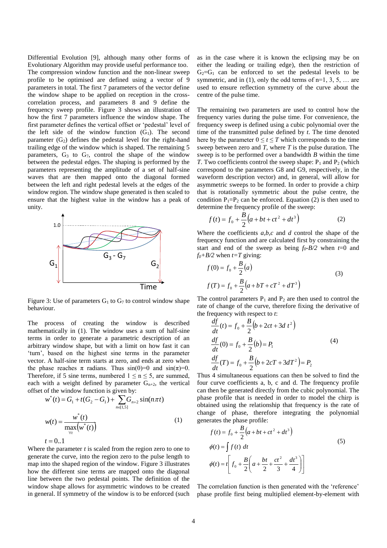Differential Evolution [9], although many other forms of Evolutionary Algorithm may provide useful performance too. The compression window function and the non-linear sweep profile to be optimised are defined using a vector of 9 parameters in total. The first 7 parameters of the vector define the window shape to be applied on reception in the crosscorrelation process, and parameters 8 and 9 define the frequency sweep profile. [Figure 3](#page-3-0) shows an illustration of how the first 7 parameters influence the window shape. The first parameter defines the vertical offset or 'pedestal' level of the left side of the window function  $(G_1)$ . The second parameter  $(G<sub>2</sub>)$  defines the pedestal level for the right-hand trailing edge of the window which is shaped. The remaining 5 parameters,  $G_3$  to  $G_7$ , control the shape of the window between the pedestal edges. The shaping is performed by the parameters representing the amplitude of a set of half-sine waves that are then mapped onto the diagonal formed between the left and right pedestal levels at the edges of the window region. The window shape generated is then scaled to ensure that the highest value in the window has a peak of unity.



<span id="page-3-0"></span>Figure 3: Use of parameters  $G_1$  to  $G_7$  to control window shape behaviour.

The process of creating the window is described mathematically in [\(1\)](#page-3-1). The window uses a sum of half-sine terms in order to generate a parametric description of an arbitrary window shape, but with a limit on how fast it can 'turn', based on the highest sine terms in the parameter vector. A half-sine term starts at zero, and ends at zero when the phase reaches  $\pi$  radians. Thus  $sin(0)=0$  and  $sin(\pi)=0$ . Therefore, if 5 sine terms, numbered  $1 \le n \le 5$ , are summed, each with a weight defined by parameter  $G_{n+2}$ , the vertical offset of the window function is given by:

$$
w^*(t) = G_1 + t(G_2 - G_1) + \sum_{n \in [1,5]} G_{n+2} \sin(n\pi t)
$$
  

$$
w(t) = \frac{w^*(t)}{\max_{\forall t} (w^*(t))}
$$
 (1)  

$$
t = 0..1
$$

Where the parameter *t* is scaled from the region zero to one to generate the curve, into the region zero to the pulse length to map into the shaped region of the window. [Figure 3](#page-3-0) illustrates how the different sine terms are mapped onto the diagonal line between the two pedestal points. The definition of the window shape allows for asymmetric windows to be created in general. If symmetry of the window is to be enforced (such as in the case where it is known the eclipsing may be on either the leading or trailing edge), then the restriction of  $G_2 = G_1$  can be enforced to set the pedestal levels to be symmetric, and in [\(1\)](#page-3-1), only the odd terms of  $n=1, 3, 5, \ldots$  are used to ensure reflection symmetry of the curve about the centre of the pulse time.

The remaining two parameters are used to control how the frequency varies during the pulse time. For convenience, the frequency sweep is defined using a cubic polynomial over the time of the transmitted pulse defined by *t*. The time denoted here by the parameter  $0 \le t \le T$  which corresponds to the time sweep between zero and  $T$ , where  $T$  is the pulse duration. The sweep is to be performed over a bandwidth *B* within the time *T*. Two coefficients control the sweep shape:  $P_1$  and  $P_2$  (which correspond to the parameters G8 and G9, respectively, in the waveform description vector) and, in general, will allow for asymmetric sweeps to be formed. In order to provide a chirp that is rotationally symmetric about the pulse centre, the condition  $P_1 = P_2$  can be enforced. Equation [\(2\)](#page-3-2) is then used to determine the frequency profile of the sweep:

$$
f(t) = f_0 + \frac{B}{2} \left( a + bt + ct^2 + dt^3 \right)
$$
 (2)

Where the coefficients *a,b,c* and *d* control the shape of the frequency function and are calculated first by constraining the start and end of the sweep as being  $f_0 - B/2$  when  $t=0$  and  $f_0 + B/2$  when  $t = T$  giving:

<span id="page-3-2"></span>
$$
f(0) = f_0 + \frac{B}{2}(a)
$$
  
\n
$$
f(T) = f_0 + \frac{B}{2}(a + bT + cT^2 + dT^3)
$$
\n(3)

The control parameters  $P_1$  and  $P_2$  are then used to control the rate of change of the curve, therefore fixing the derivative of the frequency with respect to *t*:

$$
\frac{df}{dt}(t) = f_0 + \frac{B}{2} (b + 2ct + 3d t^2)
$$
\n
$$
\frac{df}{dt}(0) = f_0 + \frac{B}{2} (b) = P_1
$$
\n
$$
\frac{df}{dt}(T) = f_0 + \frac{B}{2} (b + 2cT + 3dT^2) = P_2
$$
\n(4)

<span id="page-3-1"></span>Thus 4 simultaneous equations can then be solved to find the four curve coefficients a, b, c and d. The frequency profile can then be generated directly from the cubic polynomial. The phase profile that is needed in order to model the chirp is obtained using the relationship that frequency is the rate of change of phase, therefore integrating the polynomial generates the phase profile:

$$
f(t) = f_0 + \frac{B}{2} \left( a + bt + ct^2 + dt^3 \right)
$$
  
\n
$$
\phi(t) = \int f(t) dt
$$
  
\n
$$
\phi(t) = t \left[ f_0 + \frac{B}{2} \left( a + \frac{bt}{2} + \frac{ct^2}{3} + \frac{dt^3}{4} \right) \right]
$$
\n(5)

The correlation function is then generated with the 'reference' phase profile first being multiplied element-by-element with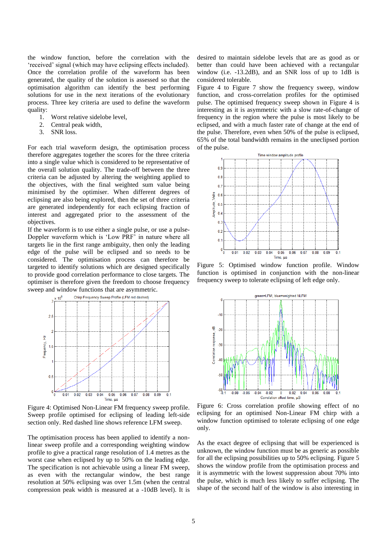the window function, before the correlation with the 'received' signal (which may have eclipsing effects included). Once the correlation profile of the waveform has been generated, the quality of the solution is assessed so that the optimisation algorithm can identify the best performing solutions for use in the next iterations of the evolutionary process. Three key criteria are used to define the waveform quality:<br>1.

- 1. Worst relative sidelobe level,<br>2. Central peak width.
- 2. Central peak width,<br>3. SNR loss.
- SNR loss.

For each trial waveform design, the optimisation process therefore aggregates together the scores for the three criteria into a single value which is considered to be representative of the overall solution quality. The trade-off between the three criteria can be adjusted by altering the weighting applied to the objectives, with the final weighted sum value being minimised by the optimiser. When different degrees of eclipsing are also being explored, then the set of three criteria are generated independently for each eclipsing fraction of interest and aggregated prior to the assessment of the objectives.

If the waveform is to use either a single pulse, or use a pulse-Doppler waveform which is 'Low PRF' in nature where all targets lie in the first range ambiguity, then only the leading edge of the pulse will be eclipsed and so needs to be considered. The optimisation process can therefore be targeted to identify solutions which are designed specifically to provide good correlation performance to close targets. The optimiser is therefore given the freedom to choose frequency sweep and window functions that are asymmetric.



<span id="page-4-0"></span>Figure 4: Optimised Non-Linear FM frequency sweep profile. Sweep profile optimised for eclipsing of leading left-side section only. Red dashed line shows reference LFM sweep.

The optimisation process has been applied to identify a nonlinear sweep profile and a corresponding weighting window profile to give a practical range resolution of 1.4 metres as the worst case when eclipsed by up to 50% on the leading edge. The specification is not achievable using a linear FM sweep, as even with the rectangular window, the best range resolution at 50% eclipsing was over 1.5m (when the central compression peak width is measured at a -10dB level). It is

desired to maintain sidelobe levels that are as good as or better than could have been achieved with a rectangular window (i.e. -13.2dB), and an SNR loss of up to 1dB is considered tolerable.

[Figure 4](#page-4-0) to [Figure 7](#page-5-0) show the frequency sweep, window function, and cross-correlation profiles for the optimised pulse. The optimised frequency sweep shown in [Figure 4](#page-4-0) is interesting as it is asymmetric with a slow rate-of-change of frequency in the region where the pulse is most likely to be eclipsed, and with a much faster rate of change at the end of the pulse. Therefore, even when 50% of the pulse is eclipsed, 65% of the total bandwidth remains in the uneclipsed portion of the pulse.



<span id="page-4-1"></span>Figure 5: Optimised window function profile. Window function is optimised in conjunction with the non-linear frequency sweep to tolerate eclipsing of left edge only.



<span id="page-4-2"></span>Figure 6: Cross correlation profile showing effect of no eclipsing for an optimised Non-Linear FM chirp with a window function optimised to tolerate eclipsing of one edge only.

As the exact degree of eclipsing that will be experienced is unknown, the window function must be as generic as possible for all the eclipsing possibilities up to 50% eclipsing. [Figure 5](#page-4-1) shows the window profile from the optimisation process and it is asymmetric with the lowest suppression about 70% into the pulse, which is much less likely to suffer eclipsing. The shape of the second half of the window is also interesting in